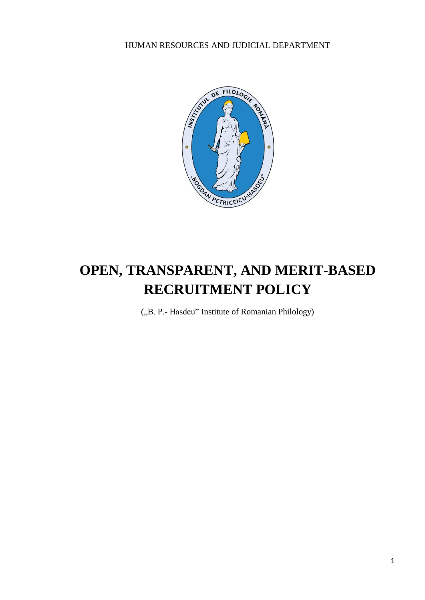HUMAN RESOURCES AND JUDICIAL DEPARTMENT



# **OPEN, TRANSPARENT, AND MERIT-BASED RECRUITMENT POLICY**

("B. P.- Hasdeu" Institute of Romanian Philology)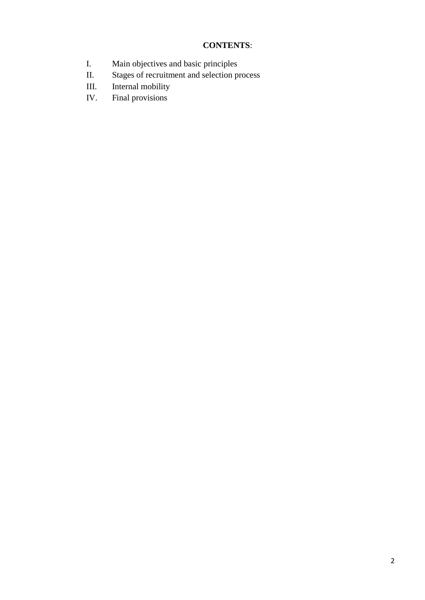# **CONTENTS**:

- I. Main objectives and basic principles
- II. Stages of recruitment and selection process<br>III. Internal mobility
- Internal mobility
- IV. Final provisions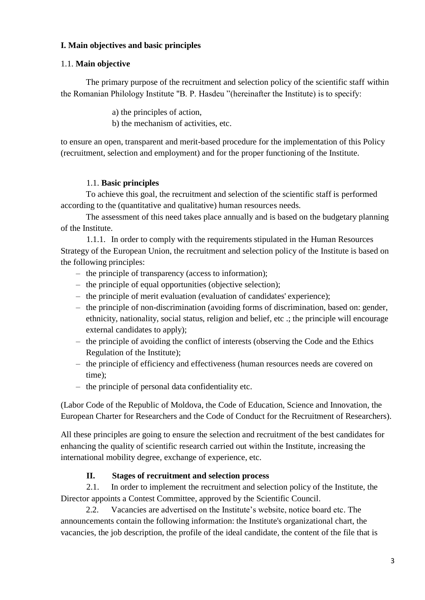# **I. Main objectives and basic principles**

#### 1.1. **Main objective**

The primary purpose of the recruitment and selection policy of the scientific staff within the Romanian Philology Institute "B. P. Hasdeu "(hereinafter the Institute) is to specify:

a) the principles of action,

b) the mechanism of activities, etc.

to ensure an open, transparent and merit-based procedure for the implementation of this Policy (recruitment, selection and employment) and for the proper functioning of the Institute.

#### 1.1. **Basic principles**

To achieve this goal, the recruitment and selection of the scientific staff is performed according to the (quantitative and qualitative) human resources needs.

The assessment of this need takes place annually and is based on the budgetary planning of the Institute.

1.1.1. In order to comply with the requirements stipulated in the Human Resources Strategy of the European Union, the recruitment and selection policy of the Institute is based on the following principles:

- the principle of transparency (access to information);
- the principle of equal opportunities (objective selection);
- the principle of merit evaluation (evaluation of candidates' experience);
- the principle of non-discrimination (avoiding forms of discrimination, based on: gender, ethnicity, nationality, social status, religion and belief, etc .; the principle will encourage external candidates to apply);
- the principle of avoiding the conflict of interests (observing the Code and the Ethics Regulation of the Institute);
- the principle of efficiency and effectiveness (human resources needs are covered on time);
- the principle of personal data confidentiality etc.

(Labor Code of the Republic of Moldova, the Code of Education, Science and Innovation, the European Charter for Researchers and the Code of Conduct for the Recruitment of Researchers).

All these principles are going to ensure the selection and recruitment of the best candidates for enhancing the quality of scientific research carried out within the Institute, increasing the international mobility degree, exchange of experience, etc.

# **II. Stages of recruitment and selection process**

2.1. In order to implement the recruitment and selection policy of the Institute, the Director appoints a Contest Committee, approved by the Scientific Council.

2.2. Vacancies are advertised on the Institute's website, notice board etc. The announcements contain the following information: the Institute's organizational chart, the vacancies, the job description, the profile of the ideal candidate, the content of the file that is